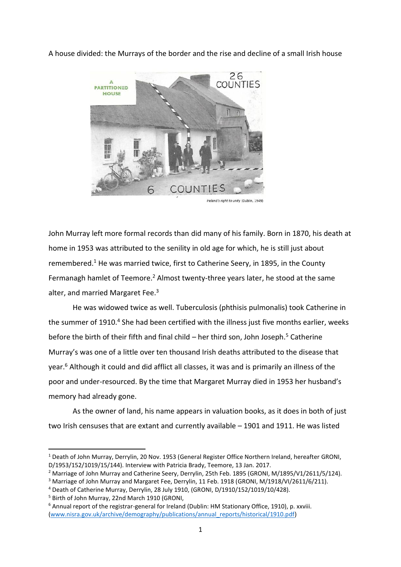A house divided: the Murrays of the border and the rise and decline of a small Irish house



Ireland's right to unity (Dublin, 1949)

John Murray left more formal records than did many of his family. Born in 1870, his death at home in 1953 was attributed to the senility in old age for which, he is still just about remembered.<sup>1</sup> He was married twice, first to Catherine Seery, in 1895, in the County Fermanagh hamlet of Teemore.<sup>2</sup> Almost twenty-three years later, he stood at the same alter, and married Margaret Fee.<sup>3</sup>

He was widowed twice as well. Tuberculosis (phthisis pulmonalis) took Catherine in the summer of 1910.<sup>4</sup> She had been certified with the illness just five months earlier, weeks before the birth of their fifth and final child  $-$  her third son, John Joseph.<sup>5</sup> Catherine Murray's was one of a little over ten thousand Irish deaths attributed to the disease that year.<sup>6</sup> Although it could and did afflict all classes, it was and is primarily an illness of the poor and under-resourced. By the time that Margaret Murray died in 1953 her husband's memory had already gone.

As the owner of land, his name appears in valuation books, as it does in both of just two Irish censuses that are extant and currently available – 1901 and 1911. He was listed

<sup>5</sup> Birth of John Murray, 22nd March 1910 (GRONI,

<sup>1</sup> Death of John Murray, Derrylin, 20 Nov. 1953 (General Register Office Northern Ireland, hereafter GRONI, D/1953/152/1019/15/144). Interview with Patricia Brady, Teemore, 13 Jan. 2017.

<sup>&</sup>lt;sup>2</sup> Marriage of John Murray and Catherine Seery, Derrylin, 25th Feb. 1895 (GRONI, M/1895/V1/2611/5/124).

<sup>&</sup>lt;sup>3</sup> Marriage of John Murray and Margaret Fee, Derrylin, 11 Feb. 1918 (GRONI, M/1918/VI/2611/6/211).

<sup>4</sup> Death of Catherine Murray, Derrylin, 28 July 1910, (GRONI, D/1910/152/1019/10/428).

<sup>6</sup> Annual report of the registrar-general for Ireland (Dublin: HM Stationary Office, 1910), p. xxviii. [\(www.nisra.gov.uk/archive/demography/publications/annual\\_reports/historical/1910.pdf\)](http://www.nisra.gov.uk/archive/demography/publications/annual_reports/historical/1910.pdf)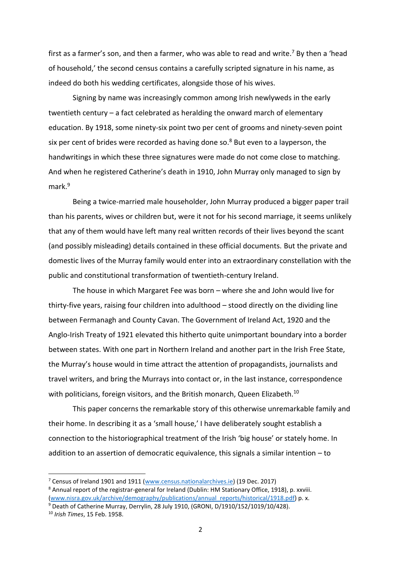first as a farmer's son, and then a farmer, who was able to read and write.<sup>7</sup> By then a 'head of household,' the second census contains a carefully scripted signature in his name, as indeed do both his wedding certificates, alongside those of his wives.

Signing by name was increasingly common among Irish newlyweds in the early twentieth century – a fact celebrated as heralding the onward march of elementary education. By 1918, some ninety-six point two per cent of grooms and ninety-seven point six per cent of brides were recorded as having done so. $8$  But even to a layperson, the handwritings in which these three signatures were made do not come close to matching. And when he registered Catherine's death in 1910, John Murray only managed to sign by mark.<sup>9</sup>

Being a twice-married male householder, John Murray produced a bigger paper trail than his parents, wives or children but, were it not for his second marriage, it seems unlikely that any of them would have left many real written records of their lives beyond the scant (and possibly misleading) details contained in these official documents. But the private and domestic lives of the Murray family would enter into an extraordinary constellation with the public and constitutional transformation of twentieth-century Ireland.

The house in which Margaret Fee was born – where she and John would live for thirty-five years, raising four children into adulthood – stood directly on the dividing line between Fermanagh and County Cavan. The Government of Ireland Act, 1920 and the Anglo-Irish Treaty of 1921 elevated this hitherto quite unimportant boundary into a border between states. With one part in Northern Ireland and another part in the Irish Free State, the Murray's house would in time attract the attention of propagandists, journalists and travel writers, and bring the Murrays into contact or, in the last instance, correspondence with politicians, foreign visitors, and the British monarch, Queen Elizabeth.<sup>10</sup>

This paper concerns the remarkable story of this otherwise unremarkable family and their home. In describing it as a 'small house,' I have deliberately sought establish a connection to the historiographical treatment of the Irish 'big house' or stately home. In addition to an assertion of democratic equivalence, this signals a similar intention – to

<sup>7</sup> Census of Ireland 1901 and 1911 [\(www.census.nationalarchives.ie\)](http://www.census.nationalarchives.ie/) (19 Dec. 2017)

<sup>8</sup> Annual report of the registrar-general for Ireland (Dublin: HM Stationary Office, 1918), p. xxviii. [\(www.nisra.gov.uk/archive/demography/publications/annual\\_reports/historical/1918.pdf\)](http://www.nisra.gov.uk/archive/demography/publications/annual_reports/historical/1918.pdf) p. x. <sup>9</sup> Death of Catherine Murray, Derrylin, 28 July 1910, (GRONI, D/1910/152/1019/10/428).

<sup>10</sup> *Irish Times*, 15 Feb. 1958.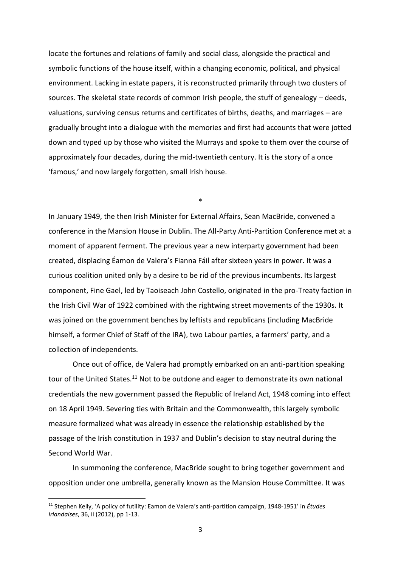locate the fortunes and relations of family and social class, alongside the practical and symbolic functions of the house itself, within a changing economic, political, and physical environment. Lacking in estate papers, it is reconstructed primarily through two clusters of sources. The skeletal state records of common Irish people, the stuff of genealogy – deeds, valuations, surviving census returns and certificates of births, deaths, and marriages – are gradually brought into a dialogue with the memories and first had accounts that were jotted down and typed up by those who visited the Murrays and spoke to them over the course of approximately four decades, during the mid-twentieth century. It is the story of a once 'famous,' and now largely forgotten, small Irish house.

In January 1949, the then Irish Minister for External Affairs, Sean MacBride, convened a conference in the Mansion House in Dublin. The All-Party Anti-Partition Conference met at a moment of apparent ferment. The previous year a new interparty government had been created, displacing Éamon de Valera's Fianna Fáil after sixteen years in power. It was a curious coalition united only by a desire to be rid of the previous incumbents. Its largest component, Fine Gael, led by Taoiseach John Costello, originated in the pro-Treaty faction in the Irish Civil War of 1922 combined with the rightwing street movements of the 1930s. It was joined on the government benches by leftists and republicans (including MacBride himself, a former Chief of Staff of the IRA), two Labour parties, a farmers' party, and a collection of independents.

\*

Once out of office, de Valera had promptly embarked on an anti-partition speaking tour of the United States.<sup>11</sup> Not to be outdone and eager to demonstrate its own national credentials the new government passed the Republic of Ireland Act, 1948 coming into effect on 18 April 1949. Severing ties with Britain and the Commonwealth, this largely symbolic measure formalized what was already in essence the relationship established by the passage of the Irish constitution in 1937 and Dublin's decision to stay neutral during the Second World War.

In summoning the conference, MacBride sought to bring together government and opposition under one umbrella, generally known as the Mansion House Committee. It was

<sup>11</sup> Stephen Kelly, 'A policy of futility: Eamon de Valera's anti-partition campaign, 1948-1951' in *Études Irlandaises*, 36, ii (2012), pp 1-13.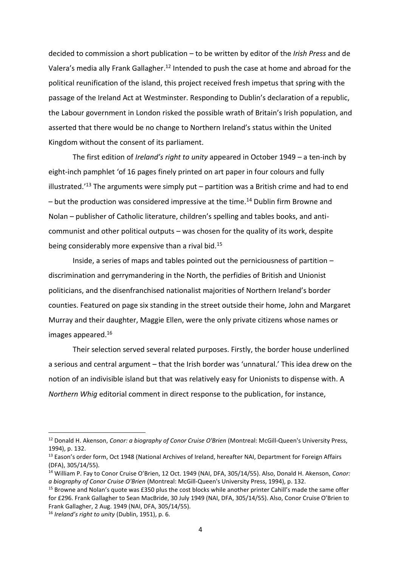decided to commission a short publication – to be written by editor of the *Irish Press* and de Valera's media ally Frank Gallagher.<sup>12</sup> Intended to push the case at home and abroad for the political reunification of the island, this project received fresh impetus that spring with the passage of the Ireland Act at Westminster. Responding to Dublin's declaration of a republic, the Labour government in London risked the possible wrath of Britain's Irish population, and asserted that there would be no change to Northern Ireland's status within the United Kingdom without the consent of its parliament.

The first edition of *Ireland's right to unity* appeared in October 1949 – a ten-inch by eight-inch pamphlet 'of 16 pages finely printed on art paper in four colours and fully illustrated.<sup>'13</sup> The arguments were simply put – partition was a British crime and had to end  $-$  but the production was considered impressive at the time.<sup>14</sup> Dublin firm Browne and Nolan – publisher of Catholic literature, children's spelling and tables books, and anticommunist and other political outputs – was chosen for the quality of its work, despite being considerably more expensive than a rival bid.<sup>15</sup>

Inside, a series of maps and tables pointed out the perniciousness of partition – discrimination and gerrymandering in the North, the perfidies of British and Unionist politicians, and the disenfranchised nationalist majorities of Northern Ireland's border counties. Featured on page six standing in the street outside their home, John and Margaret Murray and their daughter, Maggie Ellen, were the only private citizens whose names or images appeared.<sup>16</sup>

Their selection served several related purposes. Firstly, the border house underlined a serious and central argument – that the Irish border was 'unnatural.' This idea drew on the notion of an indivisible island but that was relatively easy for Unionists to dispense with. A *Northern Whig* editorial comment in direct response to the publication, for instance,

<sup>12</sup> Donald H. Akenson, *Conor: a biography of Conor Cruise O'Brien* (Montreal: McGill-Queen's University Press, 1994), p. 132.

<sup>&</sup>lt;sup>13</sup> Eason's order form, Oct 1948 (National Archives of Ireland, hereafter NAI, Department for Foreign Affairs (DFA), 305/14/55).

<sup>14</sup> William P. Fay to Conor Cruise O'Brien, 12 Oct. 1949 (NAI, DFA, 305/14/55). Also, Donald H. Akenson, *Conor: a biography of Conor Cruise O'Brien* (Montreal: McGill-Queen's University Press, 1994), p. 132.

<sup>&</sup>lt;sup>15</sup> Browne and Nolan's quote was £350 plus the cost blocks while another printer Cahill's made the same offer for £296. Frank Gallagher to Sean MacBride, 30 July 1949 (NAI, DFA, 305/14/55). Also, Conor Cruise O'Brien to Frank Gallagher, 2 Aug. 1949 (NAI, DFA, 305/14/55).

<sup>16</sup> *Ireland's right to unity* (Dublin, 1951), p. 6.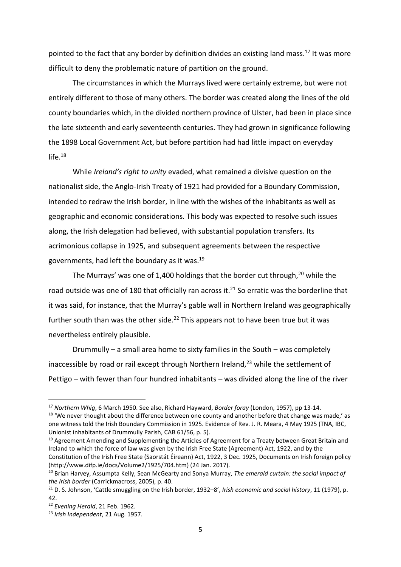pointed to the fact that any border by definition divides an existing land mass.<sup>17</sup> It was more difficult to deny the problematic nature of partition on the ground.

The circumstances in which the Murrays lived were certainly extreme, but were not entirely different to those of many others. The border was created along the lines of the old county boundaries which, in the divided northern province of Ulster, had been in place since the late sixteenth and early seventeenth centuries. They had grown in significance following the 1898 Local Government Act, but before partition had had little impact on everyday life. $^{18}$ 

While *Ireland's right to unity* evaded, what remained a divisive question on the nationalist side, the Anglo-Irish Treaty of 1921 had provided for a Boundary Commission, intended to redraw the Irish border, in line with the wishes of the inhabitants as well as geographic and economic considerations. This body was expected to resolve such issues along, the Irish delegation had believed, with substantial population transfers. Its acrimonious collapse in 1925, and subsequent agreements between the respective governments, had left the boundary as it was.<sup>19</sup>

The Murrays' was one of 1,400 holdings that the border cut through,<sup>20</sup> while the road outside was one of 180 that officially ran across it.<sup>21</sup> So erratic was the borderline that it was said, for instance, that the Murray's gable wall in Northern Ireland was geographically further south than was the other side.<sup>22</sup> This appears not to have been true but it was nevertheless entirely plausible.

Drummully – a small area home to sixty families in the South – was completely inaccessible by road or rail except through Northern Ireland.<sup>23</sup> while the settlement of Pettigo – with fewer than four hundred inhabitants – was divided along the line of the river

<sup>19</sup> Agreement Amending and Supplementing the Articles of Agreement for a Treaty between Great Britain and Ireland to which the force of law was given by the Irish Free State (Agreement) Act, 1922, and by the Constitution of the Irish Free State (Saorstát Éireann) Act, 1922, 3 Dec. 1925, Documents on Irish foreign policy (http://www.difp.ie/docs/Volume2/1925/704.htm) (24 Jan. 2017).

<sup>17</sup> *Northern Whig*, 6 March 1950. See also, Richard Hayward, *Border foray* (London, 1957), pp 13-14. <sup>18</sup> 'We never thought about the difference between one county and another before that change was made,' as one witness told the Irish Boundary Commission in 1925. Evidence of Rev. J. R. Meara, 4 May 1925 (TNA, IBC, Unionist inhabitants of Drummully Parish, CAB 61/56, p. 5).

<sup>20</sup> Brian Harvey, Assumpta Kelly, Sean McGearty and Sonya Murray, *The emerald curtain: the social impact of the Irish border* (Carrickmacross, 2005), p. 40.

<sup>21</sup> D. S. Johnson, 'Cattle smuggling on the Irish border, 1932–8', *Irish economic and social history*, 11 (1979), p. 42.

<sup>22</sup> *Evening Herald*, 21 Feb. 1962.

<sup>23</sup> *Irish Independent*, 21 Aug. 1957.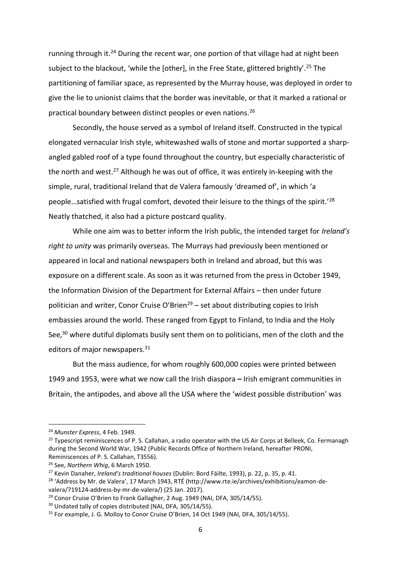running through it.<sup>24</sup> During the recent war, one portion of that village had at night been subject to the blackout, 'while the [other], in the Free State, glittered brightly'.<sup>25</sup> The partitioning of familiar space, as represented by the Murray house, was deployed in order to give the lie to unionist claims that the border was inevitable, or that it marked a rational or practical boundary between distinct peoples or even nations.<sup>26</sup>

Secondly, the house served as a symbol of Ireland itself. Constructed in the typical elongated vernacular Irish style, whitewashed walls of stone and mortar supported a sharpangled gabled roof of a type found throughout the country, but especially characteristic of the north and west.<sup>27</sup> Although he was out of office, it was entirely in-keeping with the simple, rural, traditional Ireland that de Valera famously 'dreamed of', in which 'a people…satisfied with frugal comfort, devoted their leisure to the things of the spirit.'<sup>28</sup> Neatly thatched, it also had a picture postcard quality.

While one aim was to better inform the Irish public, the intended target for *Ireland's right to unity* was primarily overseas. The Murrays had previously been mentioned or appeared in local and national newspapers both in Ireland and abroad, but this was exposure on a different scale. As soon as it was returned from the press in October 1949, the Information Division of the Department for External Affairs – then under future politician and writer, Conor Cruise O'Brien<sup>29</sup> – set about distributing copies to Irish embassies around the world. These ranged from Egypt to Finland, to India and the Holy See, $30$  where dutiful diplomats busily sent them on to politicians, men of the cloth and the editors of major newspapers.<sup>31</sup>

But the mass audience, for whom roughly 600,000 copies were printed between 1949 and 1953, were what we now call the Irish diaspora **–** Irish emigrant communities in Britain, the antipodes, and above all the USA where the 'widest possible distribution' was

<sup>24</sup> *Munster Express*, 4 Feb. 1949.

<sup>&</sup>lt;sup>25</sup> Typescript reminiscences of P. S. Callahan, a radio operator with the US Air Corps at Belleek, Co. Fermanagh during the Second World War, 1942 (Public Records Office of Northern Ireland, hereafter PRONI, Reminiscences of P. S. Callahan, T3556).

<sup>26</sup> See, *Northern Whig*, 6 March 1950.

<sup>27</sup> Kevin Danaher, *Ireland's traditional houses* (Dublin: Bord Fáilte, 1993), p. 22, p. 35, p. 41.

<sup>&</sup>lt;sup>28</sup> 'Address by Mr. de Valera', 17 March 1943, RTÉ (http://www.rte.ie/archives/exhibitions/eamon-devalera/719124-address-by-mr-de-valera/) (25 Jan. 2017).

<sup>&</sup>lt;sup>29</sup> Conor Cruise O'Brien to Frank Gallagher, 2 Aug. 1949 (NAI, DFA, 305/14/55).

<sup>&</sup>lt;sup>30</sup> Undated tally of copies distributed (NAI, DFA, 305/14/55).

<sup>&</sup>lt;sup>31</sup> For example, J. G. Molloy to Conor Cruise O'Brien, 14 Oct 1949 (NAI, DFA, 305/14/55).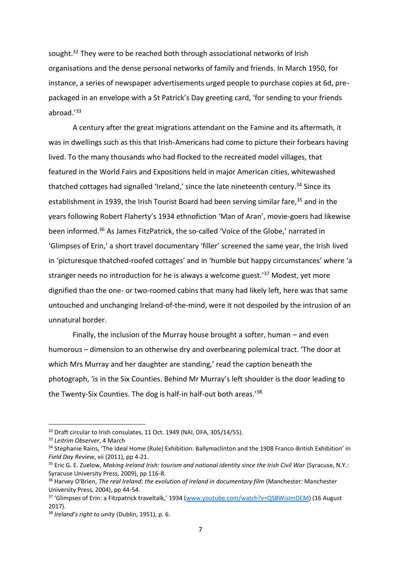sought.<sup>32</sup> They were to be reached both through associational networks of Irish organisations and the dense personal networks of family and friends. In March 1950, for instance, a series of newspaper advertisements urged people to purchase copies at 6d, prepackaged in an envelope with a St Patrick's Day greeting card, 'for sending to your friends abroad.'<sup>33</sup> 

A century after the great migrations attendant on the Famine and its aftermath, it was in dwellings such as this that Irish-Americans had come to picture their forbears having lived. To the many thousands who had flocked to the recreated model villages, that featured in the World Fairs and Expositions held in major American cities, whitewashed thatched cottages had signalled 'Ireland,' since the late nineteenth century.<sup>34</sup> Since its establishment in 1939, the Irish Tourist Board had been serving similar fare, <sup>35</sup> and in the years following Robert Flaherty's 1934 ethnofiction 'Man of Aran', movie-goers had likewise been informed. <sup>36</sup> As James FitzPatrick, the so-called 'Voice of the Globe,' narrated in 'Glimpses of Erin,' a short travel documentary 'filler' screened the same year, the Irish lived in 'picturesque thatched-roofed cottages' and in 'humble but happy circumstances' where 'a stranger needs no introduction for he is always a welcome guest.<sup>'37</sup> Modest, yet more dignified than the one- or two-roomed cabins that many had likely left, here was that same untouched and unchanging Ireland-of-the-mind, were it not despoiled by the intrusion of an unnatural border.

Finally, the inclusion of the Murray house brought a softer, human – and even humorous – dimension to an otherwise dry and overbearing polemical tract. 'The door at which Mrs Murray and her daughter are standing,' read the caption beneath the photograph, 'is in the Six Counties. Behind Mr Murray's left shoulder is the door leading to the Twenty-Six Counties. The dog is half-in half-out both areas.<sup>'38</sup>

<sup>&</sup>lt;sup>32</sup> Draft circular to Irish consulates, 11 Oct. 1949 (NAI, DFA, 305/14/55).

<sup>33</sup> *Leitrim Observer*, 4 March

<sup>34</sup> Stephanie Rains, 'The Ideal Home (Rule) Exhibition: Ballymaclinton and the 1908 Franco-British Exhibition' in *Field Day Review*, vii (2011), pp 4-21.

<sup>35</sup> Eric G. E. Zuelow, *Making Ireland Irish: tourism and national identity since the Irish Civil War* (Syracuse, N.Y.: Syracuse University Press, 2009), pp 116-8.

<sup>36</sup> Harvey O'Brien, *The real Ireland: the evolution of Ireland in documentary film* (Manchester: Manchester University Press, 2004), pp 44-54.

<sup>37</sup> 'Glimpses of Erin: a Fitzpatrick traveltalk,' 1934 ([www.youtube.com/watch?v=QS8WisImDEM\)](http://www.youtube.com/watch?v=QS8WisImDEM) (16 August 2017).

<sup>38</sup> *Ireland's right to unity* (Dublin, 1951), p. 6.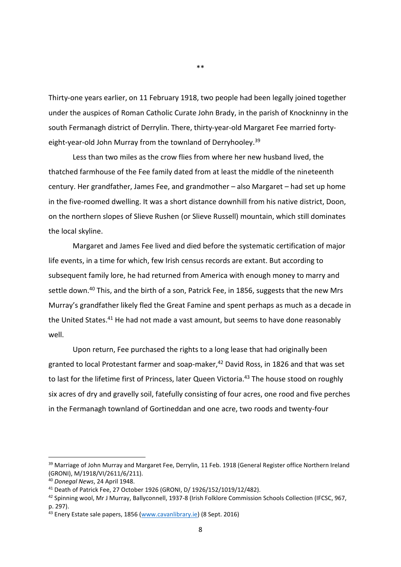Thirty-one years earlier, on 11 February 1918, two people had been legally joined together under the auspices of Roman Catholic Curate John Brady, in the parish of Knockninny in the south Fermanagh district of Derrylin. There, thirty-year-old Margaret Fee married fortyeight-year-old John Murray from the townland of Derryhooley.<sup>39</sup>

\*\*

Less than two miles as the crow flies from where her new husband lived, the thatched farmhouse of the Fee family dated from at least the middle of the nineteenth century. Her grandfather, James Fee, and grandmother – also Margaret – had set up home in the five-roomed dwelling. It was a short distance downhill from his native district, Doon, on the northern slopes of Slieve Rushen (or Slieve Russell) mountain, which still dominates the local skyline.

Margaret and James Fee lived and died before the systematic certification of major life events, in a time for which, few Irish census records are extant. But according to subsequent family lore, he had returned from America with enough money to marry and settle down.<sup>40</sup> This, and the birth of a son, Patrick Fee, in 1856, suggests that the new Mrs Murray's grandfather likely fled the Great Famine and spent perhaps as much as a decade in the United States.<sup>41</sup> He had not made a vast amount, but seems to have done reasonably well.

Upon return, Fee purchased the rights to a long lease that had originally been granted to local Protestant farmer and soap-maker, <sup>42</sup> David Ross, in 1826 and that was set to last for the lifetime first of Princess, later Queen Victoria.<sup>43</sup> The house stood on roughly six acres of dry and gravelly soil, fatefully consisting of four acres, one rood and five perches in the Fermanagh townland of Gortineddan and one acre, two roods and twenty-four

<sup>&</sup>lt;sup>39</sup> Marriage of John Murray and Margaret Fee, Derrylin, 11 Feb. 1918 (General Register office Northern Ireland (GRONI), M/1918/VI/2611/6/211).

<sup>40</sup> *Donegal News*, 24 April 1948.

<sup>41</sup> Death of Patrick Fee, 27 October 1926 (GRONI, D/ 1926/152/1019/12/482).

<sup>42</sup> Spinning wool, Mr J Murray, Ballyconnell, 1937-8 (Irish Folklore Commission Schools Collection (IFCSC, 967, p. 297).

<sup>43</sup> Enery Estate sale papers, 1856 [\(www.cavanlibrary.ie\)](http://www.cavanlibrary.ie/) (8 Sept. 2016)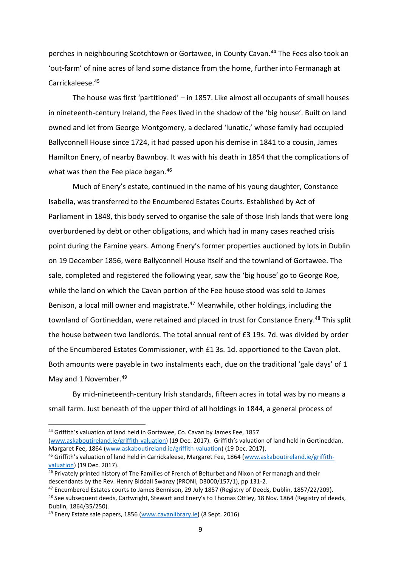perches in neighbouring Scotchtown or Gortawee, in County Cavan.<sup>44</sup> The Fees also took an 'out-farm' of nine acres of land some distance from the home, further into Fermanagh at Carrickaleese.<sup>45</sup>

The house was first 'partitioned' – in 1857. Like almost all occupants of small houses in nineteenth-century Ireland, the Fees lived in the shadow of the 'big house'. Built on land owned and let from George Montgomery, a declared 'lunatic,' whose family had occupied Ballyconnell House since 1724, it had passed upon his demise in 1841 to a cousin, James Hamilton Enery, of nearby Bawnboy. It was with his death in 1854 that the complications of what was then the Fee place began.<sup>46</sup>

Much of Enery's estate, continued in the name of his young daughter, Constance Isabella, was transferred to the Encumbered Estates Courts. Established by Act of Parliament in 1848, this body served to organise the sale of those Irish lands that were long overburdened by debt or other obligations, and which had in many cases reached crisis point during the Famine years. Among Enery's former properties auctioned by lots in Dublin on 19 December 1856, were Ballyconnell House itself and the townland of Gortawee. The sale, completed and registered the following year, saw the 'big house' go to George Roe, while the land on which the Cavan portion of the Fee house stood was sold to James Benison, a local mill owner and magistrate.<sup>47</sup> Meanwhile, other holdings, including the townland of Gortineddan, were retained and placed in trust for Constance Enery.<sup>48</sup> This split the house between two landlords. The total annual rent of £3 19s. 7d. was divided by order of the Encumbered Estates Commissioner, with £1 3s. 1d. apportioned to the Cavan plot. Both amounts were payable in two instalments each, due on the traditional 'gale days' of 1 May and 1 November.<sup>49</sup>

By mid-nineteenth-century Irish standards, fifteen acres in total was by no means a small farm. Just beneath of the upper third of all holdings in 1844, a general process of

<sup>44</sup> Griffith's valuation of land held in Gortawee, Co. Cavan by James Fee, 1857 [\(www.askaboutireland.ie/griffith-valuation](http://www.askaboutireland.ie/griffith-valuation)) (19 Dec. 2017). Griffith's valuation of land held in Gortineddan, Margaret Fee, 1864 [\(www.askaboutireland.ie/griffith-valuation\)](http://www.askaboutireland.ie/griffith-valuation) (19 Dec. 2017).

<sup>45</sup> Griffith's valuation of land held in Carrickaleese, Margaret Fee, 1864 ([www.askaboutireland.ie/griffith](http://www.askaboutireland.ie/griffith-valuation)[valuation\)](http://www.askaboutireland.ie/griffith-valuation) (19 Dec. 2017).

<sup>46</sup> Privately printed history of The Families of French of Belturbet and Nixon of Fermanagh and their descendants by the Rev. Henry Biddall Swanzy (PRONI, D3000/157/1), pp 131-2.

<sup>47</sup> Encumbered Estates courts to James Bennison, 29 July 1857 (Registry of Deeds, Dublin, 1857/22/209).

<sup>48</sup> See subsequent deeds, Cartwright, Stewart and Enery's to Thomas Ottley, 18 Nov. 1864 (Registry of deeds, Dublin, 1864/35/250).

<sup>49</sup> Enery Estate sale papers, 1856 [\(www.cavanlibrary.ie\)](http://www.cavanlibrary.ie/) (8 Sept. 2016)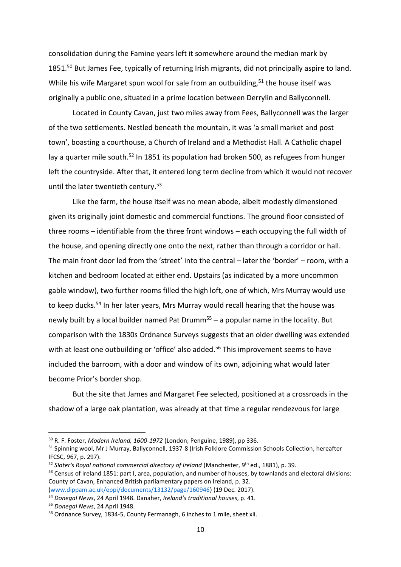consolidation during the Famine years left it somewhere around the median mark by 1851. <sup>50</sup> But James Fee, typically of returning Irish migrants, did not principally aspire to land. While his wife Margaret spun wool for sale from an outbuilding,<sup>51</sup> the house itself was originally a public one, situated in a prime location between Derrylin and Ballyconnell.

Located in County Cavan, just two miles away from Fees, Ballyconnell was the larger of the two settlements. Nestled beneath the mountain, it was 'a small market and post town', boasting a courthouse, a Church of Ireland and a Methodist Hall. A Catholic chapel lay a quarter mile south.<sup>52</sup> In 1851 its population had broken 500, as refugees from hunger left the countryside. After that, it entered long term decline from which it would not recover until the later twentieth century. 53 

Like the farm, the house itself was no mean abode, albeit modestly dimensioned given its originally joint domestic and commercial functions. The ground floor consisted of three rooms – identifiable from the three front windows – each occupying the full width of the house, and opening directly one onto the next, rather than through a corridor or hall. The main front door led from the 'street' into the central – later the 'border' – room, with a kitchen and bedroom located at either end. Upstairs (as indicated by a more uncommon gable window), two further rooms filled the high loft, one of which, Mrs Murray would use to keep ducks.<sup>54</sup> In her later years, Mrs Murray would recall hearing that the house was newly built by a local builder named Pat Drumm<sup>55</sup> – a popular name in the locality. But comparison with the 1830s Ordnance Surveys suggests that an older dwelling was extended with at least one outbuilding or 'office' also added.<sup>56</sup> This improvement seems to have included the barroom, with a door and window of its own, adjoining what would later become Prior's border shop.

But the site that James and Margaret Fee selected, positioned at a crossroads in the shadow of a large oak plantation, was already at that time a regular rendezvous for large

<sup>50</sup> R. F. Foster, *Modern Ireland, 1600-1972* (London; Penguine, 1989), pp 336.

<sup>51</sup> Spinning wool, Mr J Murray, Ballyconnell, 1937-8 (Irish Folklore Commission Schools Collection, hereafter IFCSC, 967, p. 297).

<sup>&</sup>lt;sup>52</sup> Slater's Royal national commercial directory of Ireland (Manchester, 9<sup>th</sup> ed., 1881), p. 39.

<sup>53</sup> Census of Ireland 1851: part I, area, population, and number of houses, by townlands and electoral divisions: County of Cavan, Enhanced British parliamentary papers on Ireland, p. 32. [\(www.dippam.ac.uk/eppi/documents/13132/page/160946\)](http://www.dippam.ac.uk/eppi/documents/13132/page/160946) (19 Dec. 2017).

<sup>54</sup> *Donegal News*, 24 April 1948. Danaher, *Ireland's traditional houses*, p. 41.

<sup>55</sup> *Donegal News*, 24 April 1948.

<sup>56</sup> Ordnance Survey, 1834-5, County Fermanagh, 6 inches to 1 mile, sheet xli.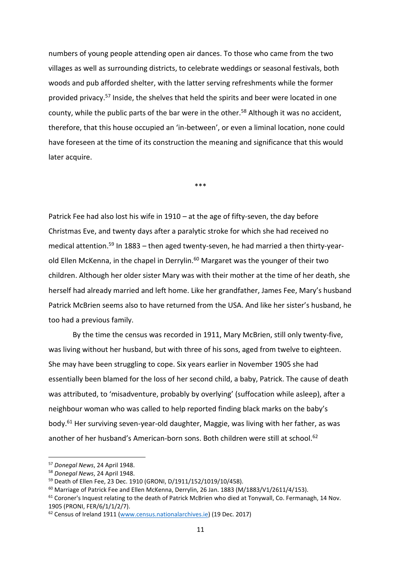numbers of young people attending open air dances. To those who came from the two villages as well as surrounding districts, to celebrate weddings or seasonal festivals, both woods and pub afforded shelter, with the latter serving refreshments while the former provided privacy.<sup>57</sup> Inside, the shelves that held the spirits and beer were located in one county, while the public parts of the bar were in the other.<sup>58</sup> Although it was no accident, therefore, that this house occupied an 'in-between', or even a liminal location, none could have foreseen at the time of its construction the meaning and significance that this would later acquire.

\*\*\*

Patrick Fee had also lost his wife in 1910 – at the age of fifty-seven, the day before Christmas Eve, and twenty days after a paralytic stroke for which she had received no medical attention.<sup>59</sup> In 1883 – then aged twenty-seven, he had married a then thirty-yearold Ellen McKenna, in the chapel in Derrylin.<sup>60</sup> Margaret was the younger of their two children. Although her older sister Mary was with their mother at the time of her death, she herself had already married and left home. Like her grandfather, James Fee, Mary's husband Patrick McBrien seems also to have returned from the USA. And like her sister's husband, he too had a previous family.

By the time the census was recorded in 1911, Mary McBrien, still only twenty-five, was living without her husband, but with three of his sons, aged from twelve to eighteen. She may have been struggling to cope. Six years earlier in November 1905 she had essentially been blamed for the loss of her second child, a baby, Patrick. The cause of death was attributed, to 'misadventure, probably by overlying' (suffocation while asleep), after a neighbour woman who was called to help reported finding black marks on the baby's body. <sup>61</sup> Her surviving seven-year-old daughter, Maggie, was living with her father, as was another of her husband's American-born sons. Both children were still at school.<sup>62</sup>

<sup>57</sup> *Donegal News*, 24 April 1948.

<sup>58</sup> *Donegal News*, 24 April 1948.

<sup>59</sup> Death of Ellen Fee, 23 Dec. 1910 (GRONI, D/1911/152/1019/10/458).

<sup>&</sup>lt;sup>60</sup> Marriage of Patrick Fee and Ellen McKenna, Derrylin, 26 Jan. 1883 (M/1883/V1/2611/4/153).

<sup>&</sup>lt;sup>61</sup> Coroner's Inquest relating to the death of Patrick McBrien who died at Tonywall, Co. Fermanagh, 14 Nov. 1905 (PRONI, FER/6/1/1/2/7).

<sup>62</sup> Census of Ireland 1911 [\(www.census.nationalarchives.ie\)](http://www.census.nationalarchives.ie/) (19 Dec. 2017)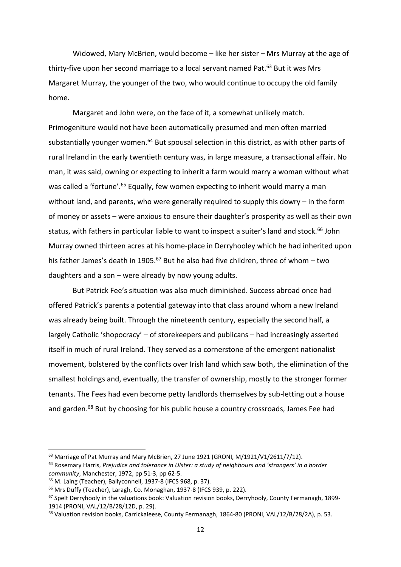Widowed, Mary McBrien, would become – like her sister – Mrs Murray at the age of thirty-five upon her second marriage to a local servant named Pat.<sup>63</sup> But it was Mrs Margaret Murray, the younger of the two, who would continue to occupy the old family home.

Margaret and John were, on the face of it, a somewhat unlikely match. Primogeniture would not have been automatically presumed and men often married substantially younger women.<sup>64</sup> But spousal selection in this district, as with other parts of rural Ireland in the early twentieth century was, in large measure, a transactional affair. No man, it was said, owning or expecting to inherit a farm would marry a woman without what was called a 'fortune'.<sup>65</sup> Equally, few women expecting to inherit would marry a man without land, and parents, who were generally required to supply this dowry – in the form of money or assets – were anxious to ensure their daughter's prosperity as well as their own status, with fathers in particular liable to want to inspect a suiter's land and stock.<sup>66</sup> John Murray owned thirteen acres at his home-place in Derryhooley which he had inherited upon his father James's death in 1905.<sup>67</sup> But he also had five children, three of whom  $-$  two daughters and a son – were already by now young adults.

But Patrick Fee's situation was also much diminished. Success abroad once had offered Patrick's parents a potential gateway into that class around whom a new Ireland was already being built. Through the nineteenth century, especially the second half, a largely Catholic 'shopocracy' – of storekeepers and publicans – had increasingly asserted itself in much of rural Ireland. They served as a cornerstone of the emergent nationalist movement, bolstered by the conflicts over Irish land which saw both, the elimination of the smallest holdings and, eventually, the transfer of ownership, mostly to the stronger former tenants. The Fees had even become petty landlords themselves by sub-letting out a house and garden.<sup>68</sup> But by choosing for his public house a country crossroads, James Fee had

 $63$  Marriage of Pat Murray and Mary McBrien, 27 June 1921 (GRONI, M/1921/V1/2611/7/12).

<sup>64</sup> Rosemary Harris, *Prejudice and tolerance in Ulster: a study of neighbours and 'strangers' in a border community*, Manchester, 1972, pp 51-3, pp 62-5.

<sup>65</sup> M. Laing (Teacher), Ballyconnell, 1937-8 (IFCS 968, p. 37).

<sup>&</sup>lt;sup>66</sup> Mrs Duffy (Teacher), Laragh, Co. Monaghan, 1937-8 (IFCS 939, p. 222).

<sup>&</sup>lt;sup>67</sup> Spelt Derryhooly in the valuations book: Valuation revision books, Derryhooly, County Fermanagh, 1899-1914 (PRONI, VAL/12/B/28/12D, p. 29).

<sup>68</sup> Valuation revision books, Carrickaleese, County Fermanagh, 1864-80 (PRONI, VAL/12/B/28/2A), p. 53.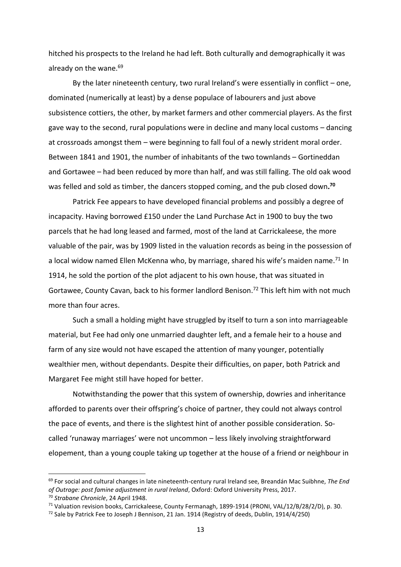hitched his prospects to the Ireland he had left. Both culturally and demographically it was already on the wane.<sup>69</sup>

By the later nineteenth century, two rural Ireland's were essentially in conflict – one, dominated (numerically at least) by a dense populace of labourers and just above subsistence cottiers, the other, by market farmers and other commercial players. As the first gave way to the second, rural populations were in decline and many local customs – dancing at crossroads amongst them – were beginning to fall foul of a newly strident moral order. Between 1841 and 1901, the number of inhabitants of the two townlands – Gortineddan and Gortawee – had been reduced by more than half, and was still falling. The old oak wood was felled and sold as timber, the dancers stopped coming, and the pub closed down**. 70**

Patrick Fee appears to have developed financial problems and possibly a degree of incapacity. Having borrowed £150 under the Land Purchase Act in 1900 to buy the two parcels that he had long leased and farmed, most of the land at Carrickaleese, the more valuable of the pair, was by 1909 listed in the valuation records as being in the possession of a local widow named Ellen McKenna who, by marriage, shared his wife's maiden name.<sup>71</sup> In 1914, he sold the portion of the plot adjacent to his own house, that was situated in Gortawee, County Cavan, back to his former landlord Benison.<sup>72</sup> This left him with not much more than four acres.

Such a small a holding might have struggled by itself to turn a son into marriageable material, but Fee had only one unmarried daughter left, and a female heir to a house and farm of any size would not have escaped the attention of many younger, potentially wealthier men, without dependants. Despite their difficulties, on paper, both Patrick and Margaret Fee might still have hoped for better.

Notwithstanding the power that this system of ownership, dowries and inheritance afforded to parents over their offspring's choice of partner, they could not always control the pace of events, and there is the slightest hint of another possible consideration. Socalled 'runaway marriages' were not uncommon – less likely involving straightforward elopement, than a young couple taking up together at the house of a friend or neighbour in

<sup>69</sup> For social and cultural changes in late nineteenth-century rural Ireland see, Breandán Mac Suibhne, *The End of Outrage: post famine adjustment in rural Ireland*, Oxford: Oxford University Press, 2017.

<sup>70</sup> *Strabane Chronicle*, 24 April 1948.

<sup>71</sup> Valuation revision books, Carrickaleese, County Fermanagh, 1899-1914 (PRONI, VAL/12/B/28/2/D), p. 30.

<sup>72</sup> Sale by Patrick Fee to Joseph J Bennison, 21 Jan. 1914 (Registry of deeds, Dublin, 1914/4/250)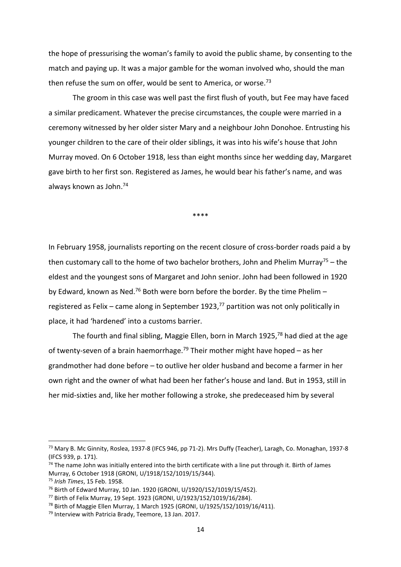the hope of pressurising the woman's family to avoid the public shame, by consenting to the match and paying up. It was a major gamble for the woman involved who, should the man then refuse the sum on offer, would be sent to America, or worse.<sup>73</sup>

The groom in this case was well past the first flush of youth, but Fee may have faced a similar predicament. Whatever the precise circumstances, the couple were married in a ceremony witnessed by her older sister Mary and a neighbour John Donohoe. Entrusting his younger children to the care of their older siblings, it was into his wife's house that John Murray moved. On 6 October 1918, less than eight months since her wedding day, Margaret gave birth to her first son. Registered as James, he would bear his father's name, and was always known as John.<sup>74</sup>

\*\*\*\*

In February 1958, journalists reporting on the recent closure of cross-border roads paid a by then customary call to the home of two bachelor brothers, John and Phelim Murray<sup>75</sup> – the eldest and the youngest sons of Margaret and John senior. John had been followed in 1920 by Edward, known as Ned.<sup>76</sup> Both were born before the border. By the time Phelim – registered as Felix – came along in September 1923,<sup>77</sup> partition was not only politically in place, it had 'hardened' into a customs barrier.

The fourth and final sibling, Maggie Ellen, born in March 1925,<sup>78</sup> had died at the age of twenty-seven of a brain haemorrhage.<sup>79</sup> Their mother might have hoped – as her grandmother had done before – to outlive her older husband and become a farmer in her own right and the owner of what had been her father's house and land. But in 1953, still in her mid-sixties and, like her mother following a stroke, she predeceased him by several

<sup>73</sup> Mary B. Mc Ginnity, Roslea, 1937-8 (IFCS 946, pp 71-2). Mrs Duffy (Teacher), Laragh, Co. Monaghan, 1937-8 (IFCS 939, p. 171).

 $74$  The name John was initially entered into the birth certificate with a line put through it. Birth of James Murray, 6 October 1918 (GRONI, U/1918/152/1019/15/344).

<sup>75</sup> *Irish Times*, 15 Feb. 1958.

<sup>76</sup> Birth of Edward Murray, 10 Jan. 1920 (GRONI, U/1920/152/1019/15/452).

<sup>77</sup> Birth of Felix Murray, 19 Sept. 1923 (GRONI, U/1923/152/1019/16/284).

<sup>78</sup> Birth of Maggie Ellen Murray, 1 March 1925 (GRONI, U/1925/152/1019/16/411).

<sup>79</sup> Interview with Patricia Brady, Teemore, 13 Jan. 2017.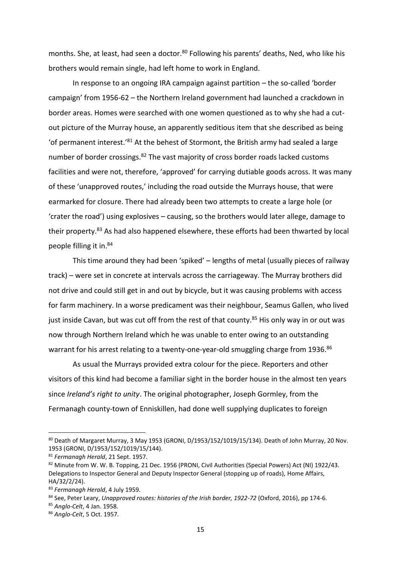months. She, at least, had seen a doctor.<sup>80</sup> Following his parents' deaths, Ned, who like his brothers would remain single, had left home to work in England.

In response to an ongoing IRA campaign against partition – the so-called 'border campaign' from 1956-62 – the Northern Ireland government had launched a crackdown in border areas. Homes were searched with one women questioned as to why she had a cutout picture of the Murray house, an apparently seditious item that she described as being 'of permanent interest.'<sup>81</sup> At the behest of Stormont, the British army had sealed a large number of border crossings.<sup>82</sup> The vast majority of cross border roads lacked customs facilities and were not, therefore, 'approved' for carrying dutiable goods across. It was many of these 'unapproved routes,' including the road outside the Murrays house, that were earmarked for closure. There had already been two attempts to create a large hole (or 'crater the road') using explosives – causing, so the brothers would later allege, damage to their property.<sup>83</sup> As had also happened elsewhere, these efforts had been thwarted by local people filling it in.<sup>84</sup>

This time around they had been 'spiked' – lengths of metal (usually pieces of railway track) – were set in concrete at intervals across the carriageway. The Murray brothers did not drive and could still get in and out by bicycle, but it was causing problems with access for farm machinery. In a worse predicament was their neighbour, Seamus Gallen, who lived just inside Cavan, but was cut off from the rest of that county.<sup>85</sup> His only way in or out was now through Northern Ireland which he was unable to enter owing to an outstanding warrant for his arrest relating to a twenty-one-year-old smuggling charge from 1936.<sup>86</sup>

As usual the Murrays provided extra colour for the piece. Reporters and other visitors of this kind had become a familiar sight in the border house in the almost ten years since *Ireland's right to unity*. The original photographer, Joseph Gormley, from the Fermanagh county-town of Enniskillen, had done well supplying duplicates to foreign

<sup>80</sup> Death of Margaret Murray, 3 May 1953 (GRONI, D/1953/152/1019/15/134). Death of John Murray, 20 Nov. 1953 (GRONI, D/1953/152/1019/15/144).

<sup>81</sup> *Fermanagh Herald*, 21 Sept. 1957.

<sup>82</sup> Minute from W. W. B. Topping, 21 Dec. 1956 (PRONI, Civil Authorities (Special Powers) Act (NI) 1922/43. Delegations to Inspector General and Deputy Inspector General (stopping up of roads), Home Affairs, HA/32/2/24).

<sup>83</sup> *Fermanagh Herald*, 4 July 1959.

<sup>84</sup> See, Peter Leary, *Unapproved routes: histories of the Irish border, 1922-72* (Oxford, 2016), pp 174-6.

<sup>85</sup> *Anglo-Celt*, 4 Jan. 1958.

<sup>86</sup> *Anglo-Celt*, 5 Oct. 1957.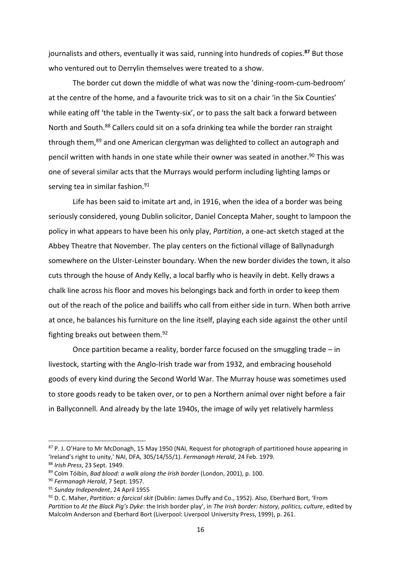journalists and others, eventually it was said, running into hundreds of copies.**<sup>87</sup>** But those who ventured out to Derrylin themselves were treated to a show.

The border cut down the middle of what was now the 'dining-room-cum-bedroom' at the centre of the home, and a favourite trick was to sit on a chair 'in the Six Counties' while eating off 'the table in the Twenty-six', or to pass the salt back a forward between North and South.<sup>88</sup> Callers could sit on a sofa drinking tea while the border ran straight through them,<sup>89</sup> and one American clergyman was delighted to collect an autograph and pencil written with hands in one state while their owner was seated in another.<sup>90</sup> This was one of several similar acts that the Murrays would perform including lighting lamps or serving tea in similar fashion.<sup>91</sup>

Life has been said to imitate art and, in 1916, when the idea of a border was being seriously considered, young Dublin solicitor, Daniel Concepta Maher, sought to lampoon the policy in what appears to have been his only play, *Partition*, a one-act sketch staged at the Abbey Theatre that November. The play centers on the fictional village of Ballynadurgh somewhere on the Ulster-Leinster boundary. When the new border divides the town, it also cuts through the house of Andy Kelly, a local barfly who is heavily in debt. Kelly draws a chalk line across his floor and moves his belongings back and forth in order to keep them out of the reach of the police and bailiffs who call from either side in turn. When both arrive at once, he balances his furniture on the line itself, playing each side against the other until fighting breaks out between them.<sup>92</sup>

Once partition became a reality, border farce focused on the smuggling trade – in livestock, starting with the Anglo-Irish trade war from 1932, and embracing household goods of every kind during the Second World War. The Murray house was sometimes used to store goods ready to be taken over, or to pen a Northern animal over night before a fair in Ballyconnell. And already by the late 1940s, the image of wily yet relatively harmless

<sup>87</sup> P. J. O'Hare to Mr McDonagh, 15 May 1950 (NAI, Request for photograph of partitioned house appearing in 'Ireland's right to unity,' NAI, DFA, 305/14/55/1). *Fermanagh Herald*, 24 Feb. 1979.

<sup>88</sup> *Irish Press*, 23 Sept. 1949.

<sup>89</sup> Colm Tóibín, *Bad blood: a walk along the Irish border* (London, 2001), p. 100.

<sup>90</sup> *Fermanagh Herald*, 7 Sept. 1957.

<sup>91</sup> *Sunday Independent*, 24 April 1955

<sup>92</sup> D. C. Maher, *Partition: a farcical skit* (Dublin: James Duffy and Co., 1952). Also, Eberhard Bort, 'From *Partition* to *At the Black Pig's Dyke*: the Irish border play', in *The Irish border: history, politics, culture*, edited by Malcolm Anderson and Eberhard Bort (Liverpool: Liverpool University Press, 1999), p. 261.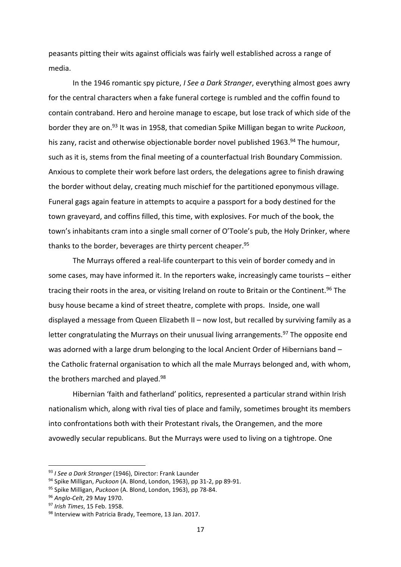peasants pitting their wits against officials was fairly well established across a range of media.

In the 1946 romantic spy picture, *I See a Dark Stranger*, everything almost goes awry for the central characters when a fake funeral cortege is rumbled and the coffin found to contain contraband. Hero and heroine manage to escape, but lose track of which side of the border they are on.<sup>93</sup> It was in 1958, that comedian Spike Milligan began to write *Puckoon*, his zany, racist and otherwise objectionable border novel published 1963.<sup>94</sup> The humour, such as it is, stems from the final meeting of a counterfactual Irish Boundary Commission. Anxious to complete their work before last orders, the delegations agree to finish drawing the border without delay, creating much mischief for the partitioned eponymous village. Funeral gags again feature in attempts to acquire a passport for a body destined for the town graveyard, and coffins filled, this time, with explosives. For much of the book, the town's inhabitants cram into a single small corner of O'Toole's pub, the Holy Drinker, where thanks to the border, beverages are thirty percent cheaper.<sup>95</sup>

The Murrays offered a real-life counterpart to this vein of border comedy and in some cases, may have informed it. In the reporters wake, increasingly came tourists – either tracing their roots in the area, or visiting Ireland on route to Britain or the Continent.<sup>96</sup> The busy house became a kind of street theatre, complete with props. Inside, one wall displayed a message from Queen Elizabeth II – now lost, but recalled by surviving family as a letter congratulating the Murrays on their unusual living arrangements.<sup>97</sup> The opposite end was adorned with a large drum belonging to the local Ancient Order of Hibernians band – the Catholic fraternal organisation to which all the male Murrays belonged and, with whom, the brothers marched and played.<sup>98</sup>

Hibernian 'faith and fatherland' politics, represented a particular strand within Irish nationalism which, along with rival ties of place and family, sometimes brought its members into confrontations both with their Protestant rivals, the Orangemen, and the more avowedly secular republicans. But the Murrays were used to living on a tightrope. One

<sup>93</sup> *I See a Dark Stranger* (1946), Director: Frank Launder

<sup>94</sup> Spike Milligan, *Puckoon* (A. Blond, London, 1963), pp 31-2, pp 89-91.

<sup>95</sup> Spike Milligan, *Puckoon* (A. Blond, London, 1963), pp 78-84.

<sup>96</sup> *Anglo-Celt*, 29 May 1970.

<sup>97</sup> *Irish Times*, 15 Feb. 1958.

<sup>98</sup> Interview with Patricia Brady, Teemore, 13 Jan. 2017.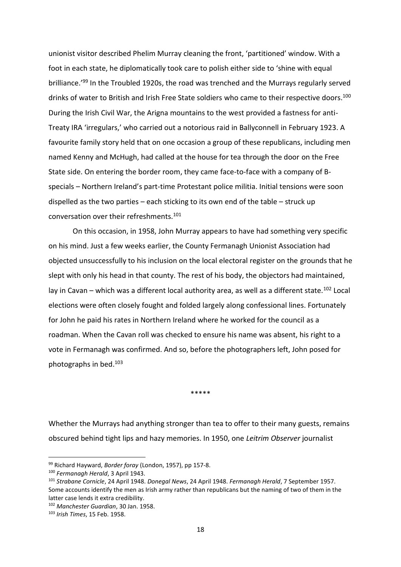unionist visitor described Phelim Murray cleaning the front, 'partitioned' window. With a foot in each state, he diplomatically took care to polish either side to 'shine with equal brilliance.<sup>'99</sup> In the Troubled 1920s, the road was trenched and the Murrays regularly served drinks of water to British and Irish Free State soldiers who came to their respective doors.<sup>100</sup> During the Irish Civil War, the Arigna mountains to the west provided a fastness for anti-Treaty IRA 'irregulars,' who carried out a notorious raid in Ballyconnell in February 1923. A favourite family story held that on one occasion a group of these republicans, including men named Kenny and McHugh, had called at the house for tea through the door on the Free State side. On entering the border room, they came face-to-face with a company of Bspecials – Northern Ireland's part-time Protestant police militia. Initial tensions were soon dispelled as the two parties – each sticking to its own end of the table – struck up conversation over their refreshments.<sup>101</sup>

On this occasion, in 1958, John Murray appears to have had something very specific on his mind. Just a few weeks earlier, the County Fermanagh Unionist Association had objected unsuccessfully to his inclusion on the local electoral register on the grounds that he slept with only his head in that county. The rest of his body, the objectors had maintained, lay in Cavan – which was a different local authority area, as well as a different state.<sup>102</sup> Local elections were often closely fought and folded largely along confessional lines. Fortunately for John he paid his rates in Northern Ireland where he worked for the council as a roadman. When the Cavan roll was checked to ensure his name was absent, his right to a vote in Fermanagh was confirmed. And so, before the photographers left, John posed for photographs in bed.<sup>103</sup>

\*\*\*\*\*

Whether the Murrays had anything stronger than tea to offer to their many guests, remains obscured behind tight lips and hazy memories. In 1950, one *Leitrim Observer* journalist

<sup>99</sup> Richard Hayward, *Border foray* (London, 1957), pp 157-8.

<sup>100</sup> *Fermanagh Herald*, 3 April 1943.

<sup>101</sup> *Strabane Cornicle*, 24 April 1948. *Donegal News*, 24 April 1948. *Fermanagh Herald*, 7 September 1957. Some accounts identify the men as Irish army rather than republicans but the naming of two of them in the latter case lends it extra credibility.

<sup>102</sup> *Manchester Guardian*, 30 Jan. 1958.

<sup>103</sup> *Irish Times*, 15 Feb. 1958.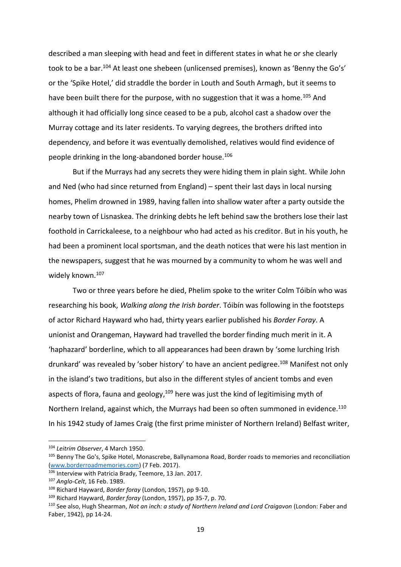described a man sleeping with head and feet in different states in what he or she clearly took to be a bar.<sup>104</sup> At least one shebeen (unlicensed premises), known as 'Benny the Go's' or the 'Spike Hotel,' did straddle the border in Louth and South Armagh, but it seems to have been built there for the purpose, with no suggestion that it was a home.<sup>105</sup> And although it had officially long since ceased to be a pub, alcohol cast a shadow over the Murray cottage and its later residents. To varying degrees, the brothers drifted into dependency, and before it was eventually demolished, relatives would find evidence of people drinking in the long-abandoned border house.<sup>106</sup>

But if the Murrays had any secrets they were hiding them in plain sight. While John and Ned (who had since returned from England) – spent their last days in local nursing homes, Phelim drowned in 1989, having fallen into shallow water after a party outside the nearby town of Lisnaskea. The drinking debts he left behind saw the brothers lose their last foothold in Carrickaleese, to a neighbour who had acted as his creditor. But in his youth, he had been a prominent local sportsman, and the death notices that were his last mention in the newspapers, suggest that he was mourned by a community to whom he was well and widely known.<sup>107</sup>

Two or three years before he died, Phelim spoke to the writer Colm Tóibín who was researching his book, *Walking along the Irish border*. Tóibín was following in the footsteps of actor Richard Hayward who had, thirty years earlier published his *Border Foray*. A unionist and Orangeman, Hayward had travelled the border finding much merit in it. A 'haphazard' borderline, which to all appearances had been drawn by 'some lurching Irish drunkard' was revealed by 'sober history' to have an ancient pedigree.<sup>108</sup> Manifest not only in the island's two traditions, but also in the different styles of ancient tombs and even aspects of flora, fauna and geology,<sup>109</sup> here was just the kind of legitimising myth of Northern Ireland, against which, the Murrays had been so often summoned in evidence.<sup>110</sup> In his 1942 study of James Craig (the first prime minister of Northern Ireland) Belfast writer,

<sup>104</sup> *Leitrim Observer*, 4 March 1950.

<sup>&</sup>lt;sup>105</sup> Benny The Go's, Spike Hotel, Monascrebe, Ballynamona Road, Border roads to memories and reconciliation [\(www.borderroadmemories.com\)](http://www.borderroadmemories.com/) (7 Feb. 2017).

<sup>106</sup> Interview with Patricia Brady, Teemore, 13 Jan. 2017.

<sup>107</sup> *Anglo-Celt*, 16 Feb. 1989.

<sup>108</sup> Richard Hayward, *Border foray* (London, 1957), pp 9-10.

<sup>109</sup> Richard Hayward, *Border foray* (London, 1957), pp 35-7, p. 70.

<sup>110</sup> See also, Hugh Shearman, *Not an inch: a study of Northern Ireland and Lord Craigavon* (London: Faber and Faber, 1942), pp 14-24.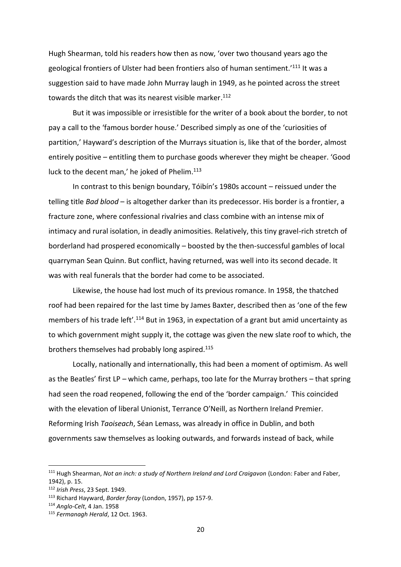Hugh Shearman, told his readers how then as now, 'over two thousand years ago the geological frontiers of Ulster had been frontiers also of human sentiment.'<sup>111</sup> It was a suggestion said to have made John Murray laugh in 1949, as he pointed across the street towards the ditch that was its nearest visible marker. 112

But it was impossible or irresistible for the writer of a book about the border, to not pay a call to the 'famous border house.' Described simply as one of the 'curiosities of partition,' Hayward's description of the Murrays situation is, like that of the border, almost entirely positive – entitling them to purchase goods wherever they might be cheaper. 'Good luck to the decent man,' he joked of Phelim.<sup>113</sup>

In contrast to this benign boundary, Tóibín's 1980s account – reissued under the telling title *Bad blood* – is altogether darker than its predecessor. His border is a frontier, a fracture zone, where confessional rivalries and class combine with an intense mix of intimacy and rural isolation, in deadly animosities. Relatively, this tiny gravel-rich stretch of borderland had prospered economically – boosted by the then-successful gambles of local quarryman Sean Quinn. But conflict, having returned, was well into its second decade. It was with real funerals that the border had come to be associated.

Likewise, the house had lost much of its previous romance. In 1958, the thatched roof had been repaired for the last time by James Baxter, described then as 'one of the few members of his trade left'.<sup>114</sup> But in 1963, in expectation of a grant but amid uncertainty as to which government might supply it, the cottage was given the new slate roof to which, the brothers themselves had probably long aspired.<sup>115</sup>

Locally, nationally and internationally, this had been a moment of optimism. As well as the Beatles' first LP – which came, perhaps, too late for the Murray brothers – that spring had seen the road reopened, following the end of the 'border campaign.' This coincided with the elevation of liberal Unionist, Terrance O'Neill, as Northern Ireland Premier. Reforming Irish *Taoiseach*, Séan Lemass, was already in office in Dublin, and both governments saw themselves as looking outwards, and forwards instead of back, while

<sup>111</sup> Hugh Shearman, *Not an inch: a study of Northern Ireland and Lord Craigavon* (London: Faber and Faber, 1942), p. 15.

<sup>112</sup> *Irish Press*, 23 Sept. 1949.

<sup>113</sup> Richard Hayward, *Border foray* (London, 1957), pp 157-9.

<sup>114</sup> *Anglo-Celt*, 4 Jan. 1958

<sup>115</sup> *Fermanagh Herald*, 12 Oct. 1963.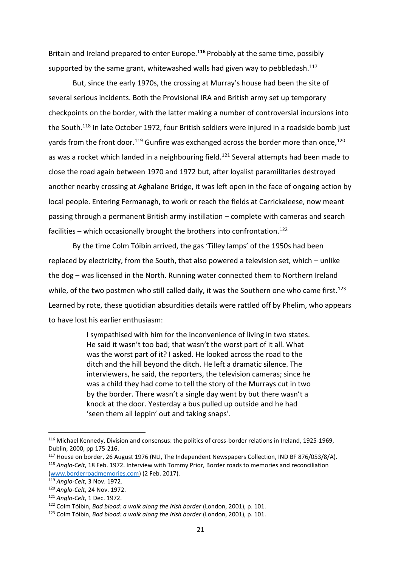Britain and Ireland prepared to enter Europe.**<sup>116</sup>** Probably at the same time, possibly supported by the same grant, whitewashed walls had given way to pebbledash.<sup>117</sup>

But, since the early 1970s, the crossing at Murray's house had been the site of several serious incidents. Both the Provisional IRA and British army set up temporary checkpoints on the border, with the latter making a number of controversial incursions into the South.<sup>118</sup> In late October 1972, four British soldiers were injured in a roadside bomb just yards from the front door.<sup>119</sup> Gunfire was exchanged across the border more than once,<sup>120</sup> as was a rocket which landed in a neighbouring field.<sup>121</sup> Several attempts had been made to close the road again between 1970 and 1972 but, after loyalist paramilitaries destroyed another nearby crossing at Aghalane Bridge, it was left open in the face of ongoing action by local people. Entering Fermanagh, to work or reach the fields at Carrickaleese, now meant passing through a permanent British army instillation – complete with cameras and search facilities – which occasionally brought the brothers into confrontation.<sup>122</sup>

By the time Colm Tóibín arrived, the gas 'Tilley lamps' of the 1950s had been replaced by electricity, from the South, that also powered a television set, which – unlike the dog – was licensed in the North. Running water connected them to Northern Ireland while, of the two postmen who still called daily, it was the Southern one who came first.<sup>123</sup> Learned by rote, these quotidian absurdities details were rattled off by Phelim, who appears to have lost his earlier enthusiasm:

> I sympathised with him for the inconvenience of living in two states. He said it wasn't too bad; that wasn't the worst part of it all. What was the worst part of it? I asked. He looked across the road to the ditch and the hill beyond the ditch. He left a dramatic silence. The interviewers, he said, the reporters, the television cameras; since he was a child they had come to tell the story of the Murrays cut in two by the border. There wasn't a single day went by but there wasn't a knock at the door. Yesterday a bus pulled up outside and he had 'seen them all leppin' out and taking snaps'.

<sup>116</sup> Michael Kennedy, Division and consensus: the politics of cross-border relations in Ireland, 1925-1969, Dublin, 2000, pp 175-216.

<sup>117</sup> House on border, 26 August 1976 (NLI, The Independent Newspapers Collection, IND BF 876/053/8/A). <sup>118</sup> *Anglo-Celt*, 18 Feb. 1972. Interview with Tommy Prior, Border roads to memories and reconciliation [\(www.borderroadmemories.com\)](http://www.borderroadmemories.com/) (2 Feb. 2017).

<sup>119</sup> *Anglo-Celt*, 3 Nov. 1972.

<sup>120</sup> *Anglo-Celt*, 24 Nov. 1972.

<sup>121</sup> *Anglo-Celt*, 1 Dec. 1972.

<sup>122</sup> Colm Tóibín, *Bad blood: a walk along the Irish border* (London, 2001), p. 101.

<sup>123</sup> Colm Tóibín, *Bad blood: a walk along the Irish border* (London, 2001), p. 101.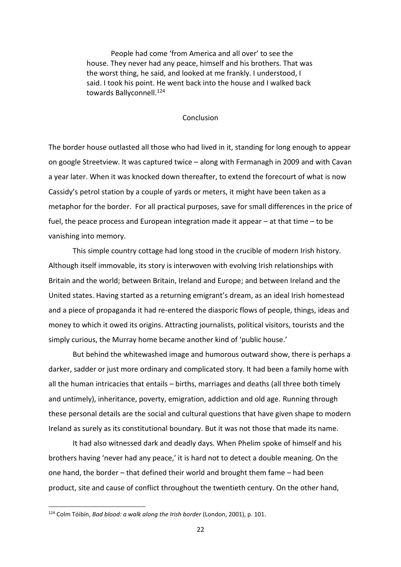People had come 'from America and all over' to see the house. They never had any peace, himself and his brothers. That was the worst thing, he said, and looked at me frankly. I understood, I said. I took his point. He went back into the house and I walked back towards Ballyconnell.<sup>124</sup>

## Conclusion

The border house outlasted all those who had lived in it, standing for long enough to appear on google Streetview. It was captured twice – along with Fermanagh in 2009 and with Cavan a year later. When it was knocked down thereafter, to extend the forecourt of what is now Cassidy's petrol station by a couple of yards or meters, it might have been taken as a metaphor for the border. For all practical purposes, save for small differences in the price of fuel, the peace process and European integration made it appear – at that time – to be vanishing into memory.

This simple country cottage had long stood in the crucible of modern Irish history. Although itself immovable, its story is interwoven with evolving Irish relationships with Britain and the world; between Britain, Ireland and Europe; and between Ireland and the United states. Having started as a returning emigrant's dream, as an ideal Irish homestead and a piece of propaganda it had re-entered the diasporic flows of people, things, ideas and money to which it owed its origins. Attracting journalists, political visitors, tourists and the simply curious, the Murray home became another kind of 'public house.'

But behind the whitewashed image and humorous outward show, there is perhaps a darker, sadder or just more ordinary and complicated story. It had been a family home with all the human intricacies that entails – births, marriages and deaths (all three both timely and untimely), inheritance, poverty, emigration, addiction and old age. Running through these personal details are the social and cultural questions that have given shape to modern Ireland as surely as its constitutional boundary. But it was not those that made its name.

It had also witnessed dark and deadly days. When Phelim spoke of himself and his brothers having 'never had any peace,' it is hard not to detect a double meaning. On the one hand, the border – that defined their world and brought them fame – had been product, site and cause of conflict throughout the twentieth century. On the other hand,

<sup>124</sup> Colm Tóibín, *Bad blood: a walk along the Irish border* (London, 2001), p. 101.